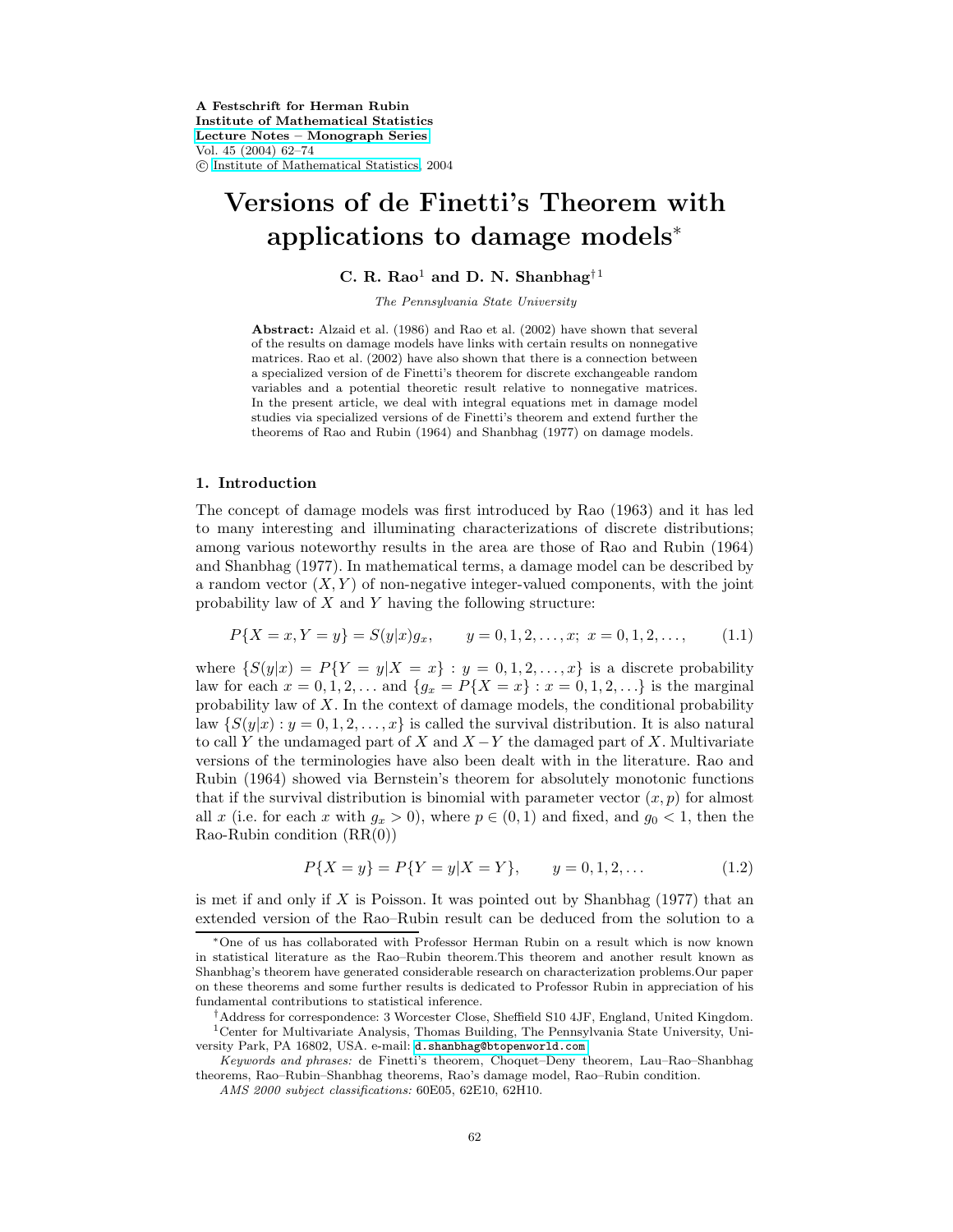**A Festschrift for Herman Rubin Institute of Mathematical Statistics [Lecture Notes – Monograph Series](http://www.imstat.org/publications/lecnotes.htm)** Vol. 45 (2004) 62–74 c [Institute of Mathematical Statistics,](http://www.imstat.org) 2004

# **Versions of de Finetti's Theorem with applications to damage models**<sup>∗</sup>

**C. R. Rao**<sup>1</sup> **and D. N. Shanbhag**†<sup>1</sup>

The Pennsylvania State University

**Abstract:** Alzaid et al. (1986) and Rao et al. (2002) have shown that several of the results on damage models have links with certain results on nonnegative matrices. Rao et al. (2002) have also shown that there is a connection between a specialized version of de Finetti's theorem for discrete exchangeable random variables and a potential theoretic result relative to nonnegative matrices. In the present article, we deal with integral equations met in damage model studies via specialized versions of de Finetti's theorem and extend further the theorems of Rao and Rubin (1964) and Shanbhag (1977) on damage models.

### **1. Introduction**

The concept of damage models was first introduced by Rao (1963) and it has led to many interesting and illuminating characterizations of discrete distributions; among various noteworthy results in the area are those of Rao and Rubin (1964) and Shanbhag (1977). In mathematical terms, a damage model can be described by a random vector  $(X, Y)$  of non-negative integer-valued components, with the joint probability law of X and Y having the following structure:

$$
P\{X = x, Y = y\} = S(y|x)g_x, \qquad y = 0, 1, 2, \dots, x; \ x = 0, 1, 2, \dots, \tag{1.1}
$$

where  $\{S(y|x) = P\{Y = y|X = x\} : y = 0, 1, 2, \ldots, x\}$  is a discrete probability law for each  $x = 0, 1, 2, ...$  and  $\{g_x = P\{X = x\} : x = 0, 1, 2, ...\}$  is the marginal probability law of  $X$ . In the context of damage models, the conditional probability law  $\{S(y|x): y=0,1,2,\ldots,x\}$  is called the survival distribution. It is also natural to call Y the undamaged part of X and  $X - Y$  the damaged part of X. Multivariate versions of the terminologies have also been dealt with in the literature. Rao and Rubin (1964) showed via Bernstein's theorem for absolutely monotonic functions that if the survival distribution is binomial with parameter vector  $(x, p)$  for almost all x (i.e. for each x with  $g_x > 0$ ), where  $p \in (0, 1)$  and fixed, and  $g_0 < 1$ , then the  $Rao-Rubin$  condition  $(RR(0))$ 

$$
P\{X = y\} = P\{Y = y|X = Y\}, \qquad y = 0, 1, 2, \dots
$$
\n(1.2)

is met if and only if  $X$  is Poisson. It was pointed out by Shanbhag  $(1977)$  that an extended version of the Rao–Rubin result can be deduced from the solution to a

<sup>∗</sup>One of us has collaborated with Professor Herman Rubin on a result which is now known in statistical literature as the Rao–Rubin theorem.This theorem and another result known as Shanbhag's theorem have generated considerable research on characterization problems.Our paper on these theorems and some further results is dedicated to Professor Rubin in appreciation of his fundamental contributions to statistical inference.

<sup>†</sup>Address for correspondence: 3 Worcester Close, Sheffield S10 4JF, England, United Kingdom. <sup>1</sup>Center for Multivariate Analysis, Thomas Building, The Pennsylvania State University, University Park, PA 16802, USA. e-mail: [d.shanbhag@btopenworld.com](mailto:d.shanbhag@btopenworld.com)

Keywords and phrases: de Finetti's theorem, Choquet–Deny theorem, Lau–Rao–Shanbhag theorems, Rao–Rubin–Shanbhag theorems, Rao's damage model, Rao–Rubin condition.

AMS 2000 subject classifications: 60E05, 62E10, 62H10.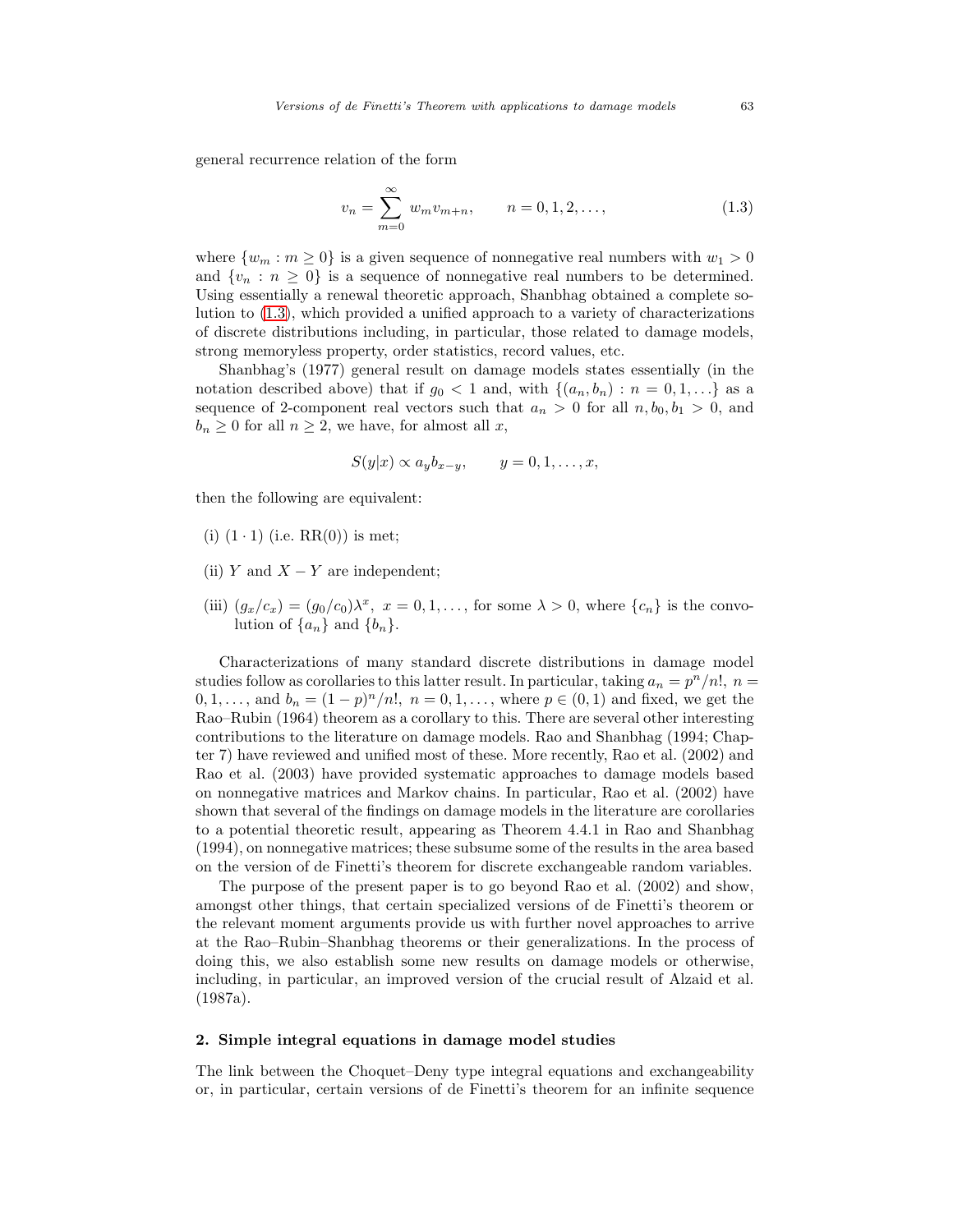<span id="page-1-0"></span>general recurrence relation of the form

$$
v_n = \sum_{m=0}^{\infty} w_m v_{m+n}, \qquad n = 0, 1, 2, \dots,
$$
 (1.3)

where  $\{w_m : m \geq 0\}$  is a given sequence of nonnegative real numbers with  $w_1 > 0$ and  $\{v_n : n \geq 0\}$  is a sequence of nonnegative real numbers to be determined. Using essentially a renewal theoretic approach, Shanbhag obtained a complete solution to [\(1.3\)](#page-1-0), which provided a unified approach to a variety of characterizations of discrete distributions including, in particular, those related to damage models, strong memoryless property, order statistics, record values, etc.

Shanbhag's (1977) general result on damage models states essentially (in the notation described above) that if  $g_0 < 1$  and, with  $\{(a_n, b_n) : n = 0, 1, ...\}$  as a sequence of 2-component real vectors such that  $a_n > 0$  for all  $n, b_0, b_1 > 0$ , and  $b_n \geq 0$  for all  $n \geq 2$ , we have, for almost all x,

$$
S(y|x) \propto a_y b_{x-y}, \qquad y=0,1,\ldots,x,
$$

then the following are equivalent:

- (i)  $(1 \cdot 1)$  (i.e.  $RR(0)$ ) is met;
- (ii) Y and  $X Y$  are independent;
- (iii)  $(g_x/c_x)=(g_0/c_0)\lambda^x$ ,  $x=0,1,\ldots$ , for some  $\lambda>0$ , where  $\{c_n\}$  is the convolution of  $\{a_n\}$  and  $\{b_n\}$ .

Characterizations of many standard discrete distributions in damage model studies follow as corollaries to this latter result. In particular, taking  $a_n = p^n/n!$ ,  $n =$ 0, 1,..., and  $b_n = (1-p)^n/n!$ ,  $n = 0, 1, \ldots$ , where  $p \in (0, 1)$  and fixed, we get the Rao–Rubin (1964) theorem as a corollary to this. There are several other interesting contributions to the literature on damage models. Rao and Shanbhag (1994; Chapter 7) have reviewed and unified most of these. More recently, Rao et al. (2002) and Rao et al. (2003) have provided systematic approaches to damage models based on nonnegative matrices and Markov chains. In particular, Rao et al. (2002) have shown that several of the findings on damage models in the literature are corollaries to a potential theoretic result, appearing as Theorem 4.4.1 in Rao and Shanbhag (1994), on nonnegative matrices; these subsume some of the results in the area based on the version of de Finetti's theorem for discrete exchangeable random variables.

The purpose of the present paper is to go beyond Rao et al. (2002) and show, amongst other things, that certain specialized versions of de Finetti's theorem or the relevant moment arguments provide us with further novel approaches to arrive at the Rao–Rubin–Shanbhag theorems or their generalizations. In the process of doing this, we also establish some new results on damage models or otherwise, including, in particular, an improved version of the crucial result of Alzaid et al. (1987a).

#### **2. Simple integral equations in damage model studies**

The link between the Choquet–Deny type integral equations and exchangeability or, in particular, certain versions of de Finetti's theorem for an infinite sequence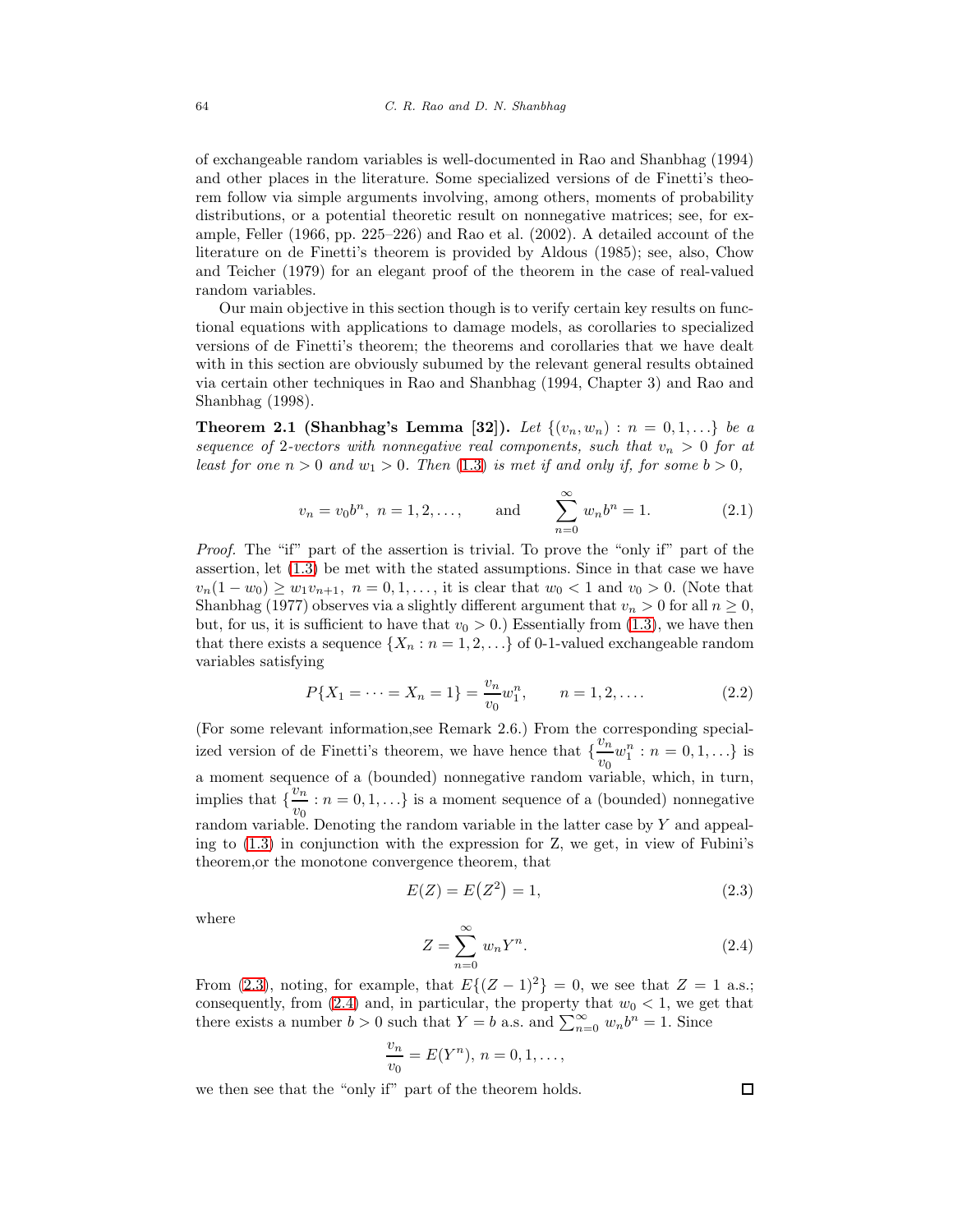of exchangeable random variables is well-documented in Rao and Shanbhag (1994) and other places in the literature. Some specialized versions of de Finetti's theorem follow via simple arguments involving, among others, moments of probability distributions, or a potential theoretic result on nonnegative matrices; see, for example, Feller (1966, pp. 225–226) and Rao et al. (2002). A detailed account of the literature on de Finetti's theorem is provided by Aldous (1985); see, also, Chow and Teicher (1979) for an elegant proof of the theorem in the case of real-valued random variables.

Our main objective in this section though is to verify certain key results on functional equations with applications to damage models, as corollaries to specialized versions of de Finetti's theorem; the theorems and corollaries that we have dealt with in this section are obviously subumed by the relevant general results obtained via certain other techniques in Rao and Shanbhag (1994, Chapter 3) and Rao and Shanbhag (1998).

<span id="page-2-2"></span>**Theorem 2.1 (Shanbhag's Lemma [32]).** Let  $\{(v_n, w_n) : n = 0, 1, ...\}$  be a sequence of 2-vectors with nonnegative real components, such that  $v_n > 0$  for at least for one  $n > 0$  and  $w_1 > 0$ . Then  $(1.3)$  is met if and only if, for some  $b > 0$ ,

$$
v_n = v_0 b^n
$$
,  $n = 1, 2, ...,$  and  $\sum_{n=0}^{\infty} w_n b^n = 1.$  (2.1)

Proof. The "if" part of the assertion is trivial. To prove the "only if" part of the assertion, let [\(1.3\)](#page-1-0) be met with the stated assumptions. Since in that case we have  $v_n(1 - w_0) \geq w_1v_{n+1}, \ n = 0, 1, \ldots$ , it is clear that  $w_0 < 1$  and  $v_0 > 0$ . (Note that Shanbhag (1977) observes via a slightly different argument that  $v_n > 0$  for all  $n \geq 0$ , but, for us, it is sufficient to have that  $v_0 > 0$ .) Essentially from [\(1.3\)](#page-1-0), we have then that there exists a sequence  $\{X_n : n = 1, 2, \ldots\}$  of 0-1-valued exchangeable random variables satisfying

$$
P\{X_1 = \dots = X_n = 1\} = \frac{v_n}{v_0} w_1^n, \qquad n = 1, 2, \dots
$$
 (2.2)

(For some relevant information,see Remark 2.6.) From the corresponding specialized version of de Finetti's theorem, we have hence that  $\{ \frac{v_n}{v_n} \}$  $\frac{v_n}{v_0}w_1^n : n = 0, 1, \ldots$ } is a moment sequence of a (bounded) nonnegative random variable, which, in turn, implies that  $\left\{\frac{v_n}{v_n}\right\}$  $\frac{v_n}{v_0}$  :  $n = 0, 1, \ldots$ } is a moment sequence of a (bounded) nonnegative random variable. Denoting the random variable in the latter case by  $Y$  and appealing to [\(1.3\)](#page-1-0) in conjunction with the expression for Z, we get, in view of Fubini's theorem,or the monotone convergence theorem, that

<span id="page-2-1"></span>
$$
E(Z) = E(Z^2) = 1,
$$
\n(2.3)

<span id="page-2-0"></span>where

$$
Z = \sum_{n=0}^{\infty} w_n Y^n.
$$
 (2.4)

From [\(2.3\)](#page-2-0), noting, for example, that  $E\{(Z-1)^2\}=0$ , we see that  $Z=1$  a.s.; consequently, from  $(2.4)$  and, in particular, the property that  $w_0 < 1$ , we get that there exists a number  $b > 0$  such that  $Y = b$  a.s. and  $\sum_{n=0}^{\infty} w_n b^n = 1$ . Since

$$
\frac{v_n}{v_0}=E(Y^n),\,n=0,1,\ldots,
$$

we then see that the "only if" part of the theorem holds.

口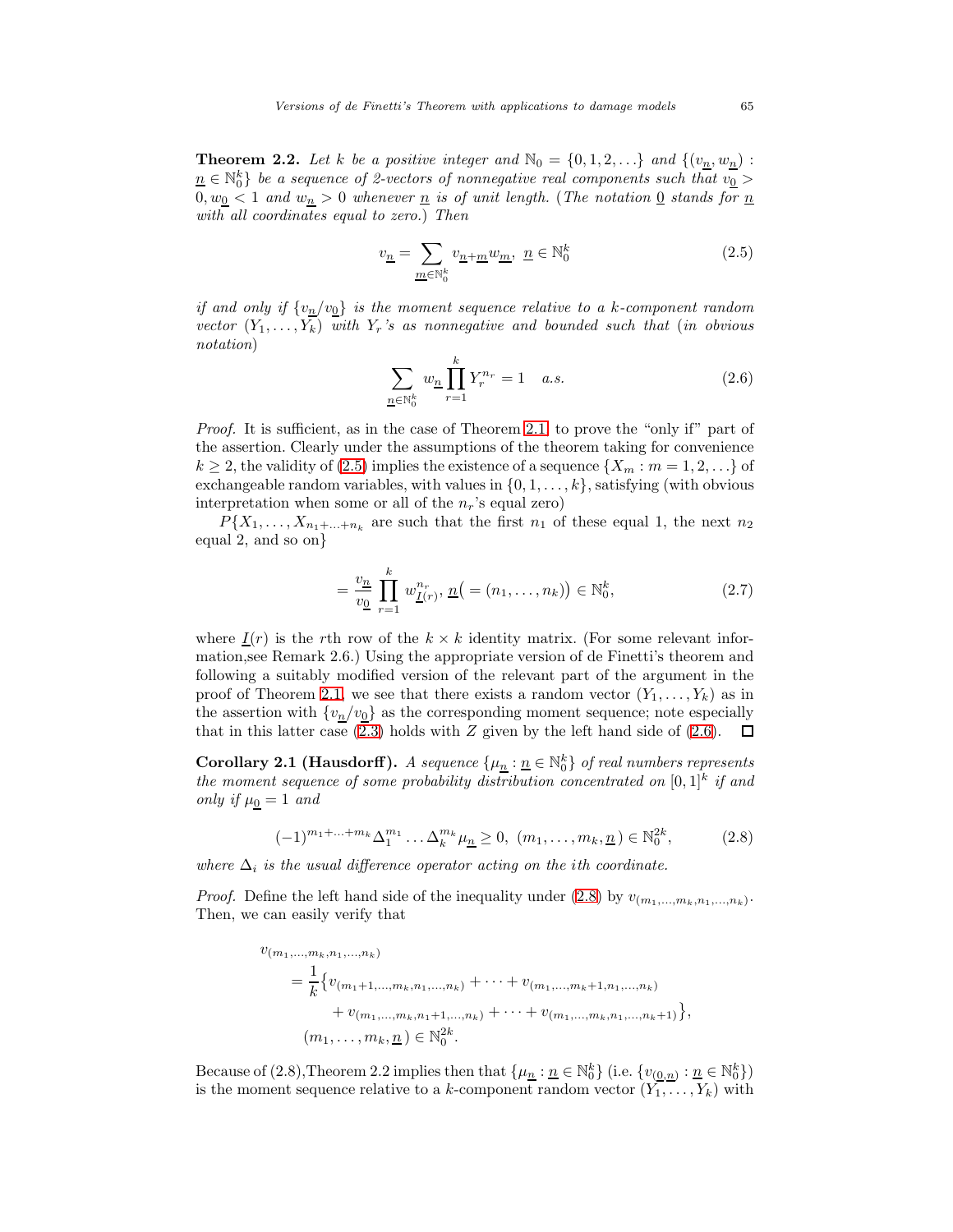<span id="page-3-3"></span><span id="page-3-0"></span>**Theorem 2.2.** Let k be a positive integer and  $\mathbb{N}_0 = \{0, 1, 2, ...\}$  and  $\{(v_n, w_n):$  $n\in \mathbb{N}_0^k\}$  be a sequence of 2-vectors of nonnegative real components such that  $v_0^ 0, w_0 < 1$  and  $w_n > 0$  whenever  $\underline{n}$  is of unit length. (The notation  $\underline{0}$  stands for  $\underline{n}$ with all coordinates equal to zero.) Then

$$
v_{\underline{n}} = \sum_{\underline{m} \in \mathbb{N}_0^k} v_{\underline{n} + \underline{m}} w_{\underline{m}}, \ \underline{n} \in \mathbb{N}_0^k \tag{2.5}
$$

<span id="page-3-1"></span>if and only if  ${v_n/v_0}$  is the moment sequence relative to a k-component random vector  $(Y_1, \ldots, Y_k)$  with  $Y_r$ 's as nonnegative and bounded such that (in obvious notation)

$$
\sum_{n \in \mathbb{N}_0^k} w_n \prod_{r=1}^k Y_r^{n_r} = 1 \quad a.s.
$$
\n(2.6)

Proof. It is sufficient, as in the case of Theorem [2.1,](#page-2-2) to prove the "only if" part of the assertion. Clearly under the assumptions of the theorem taking for convenience  $k \ge 2$ , the validity of [\(2.5\)](#page-3-0) implies the existence of a sequence  $\{X_m : m = 1, 2, \ldots\}$  of exchangeable random variables, with values in  $\{0, 1, \ldots, k\}$ , satisfying (with obvious interpretation when some or all of the  $n_r$ 's equal zero)

<span id="page-3-5"></span> $P{X_1,...,X_{n_1+...+n_k}}$  are such that the first  $n_1$  of these equal 1, the next  $n_2$ equal 2, and so on}

$$
= \frac{v_n}{v_0} \prod_{r=1}^k w_{\underline{I}(r)}^{n_r}, \, \underline{n} \big( = (n_1, \dots, n_k) \big) \in \mathbb{N}_0^k, \tag{2.7}
$$

where  $I(r)$  is the rth row of the  $k \times k$  identity matrix. (For some relevant information,see Remark 2.6.) Using the appropriate version of de Finetti's theorem and following a suitably modified version of the relevant part of the argument in the proof of Theorem [2.1,](#page-2-2) we see that there exists a random vector  $(Y_1,\ldots,Y_k)$  as in the assertion with  $\{v_n/v_0\}$  as the corresponding moment sequence; note especially that in this latter case [\(2.3\)](#page-2-0) holds with Z given by the left hand side of [\(2.6\)](#page-3-1).  $\Box$ 

<span id="page-3-4"></span>**Corollary 2.1 (Hausdorff).** A sequence  $\{\mu_{\underline{n}} : \underline{n} \in \mathbb{N}_0^k\}$  of real numbers represents the moment sequence of some probability distribution concentrated on  $[0,1]^k$  if and only if  $\mu_0 = 1$  and

$$
(-1)^{m_1 + \ldots + m_k} \Delta_1^{m_1} \ldots \Delta_k^{m_k} \mu_{\underline{n}} \ge 0, \ (m_1, \ldots, m_k, \underline{n}) \in \mathbb{N}_0^{2k},
$$
 (2.8)

<span id="page-3-2"></span>where  $\Delta_i$  is the usual difference operator acting on the ith coordinate.

*Proof.* Define the left hand side of the inequality under [\(2.8\)](#page-3-2) by  $v_{(m_1,...,m_k,n_1,...,n_k)}$ . Then, we can easily verify that

$$
v_{(m_1,...,m_k,n_1,...,n_k)}
$$
  
=  $\frac{1}{k}$  { $v_{(m_1+1,...,m_k,n_1,...,n_k)} + \cdots + v_{(m_1,...,m_k+1,n_1,...,n_k)} + v_{(m_1,...,m_k,n_1+1,...,n_k)} + \cdots + v_{(m_1,...,m_k,n_1,...,n_k+1)} }$ },  
( $m_1,...,m_k, n)$  ∈  $\mathbb{N}_0^{2k}$ .

Because of (2.8), Theorem 2.2 implies then that  $\{\mu_{\underline{n}} : \underline{n} \in \mathbb{N}_0^k\}$  (i.e.  $\{v_{(\underline{0},\underline{n})} : \underline{n} \in \mathbb{N}_0^k\}$ ) is the moment sequence relative to a k-component random vector  $(Y_1, \ldots, Y_k)$  with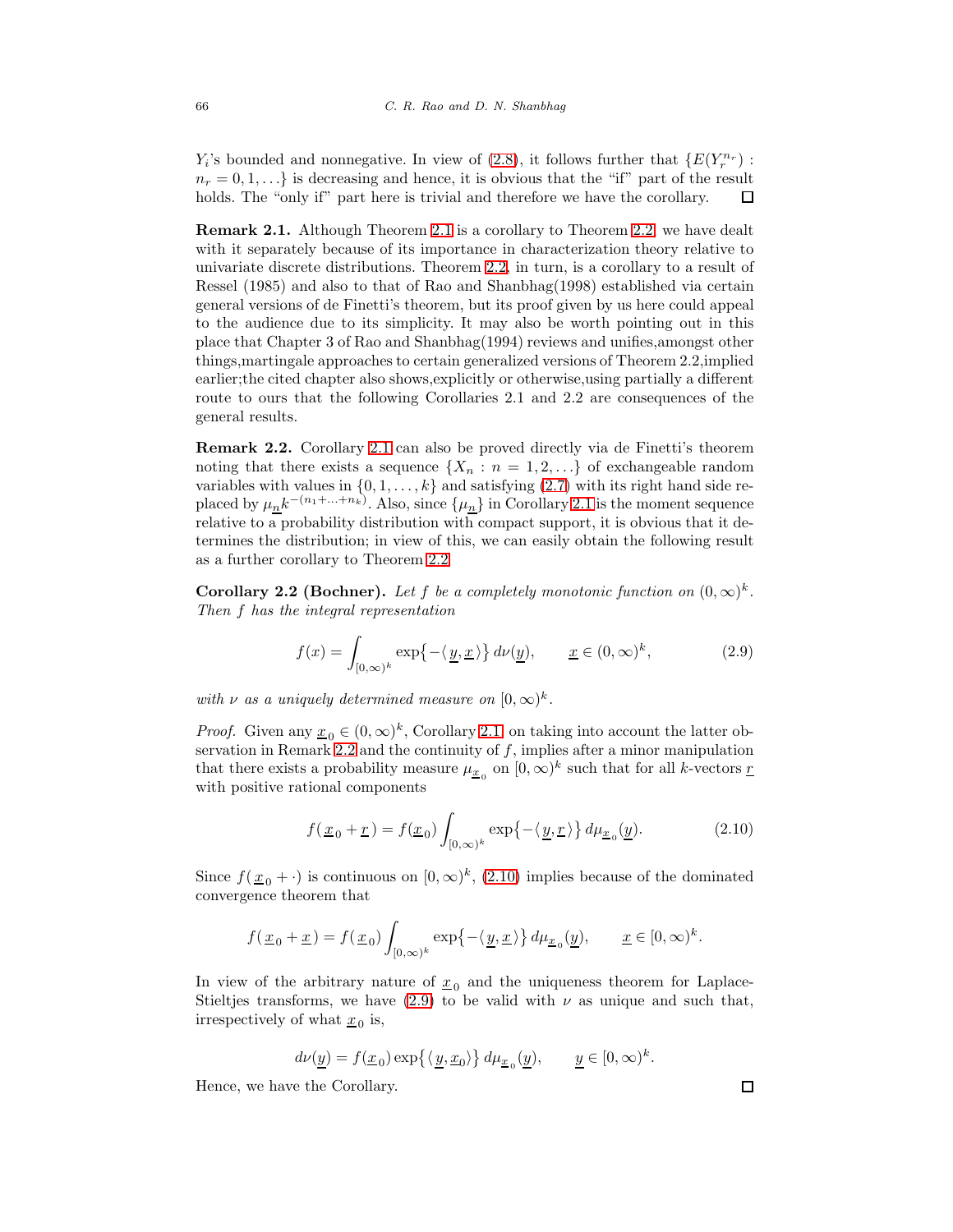$Y_i$ 's bounded and nonnegative. In view of [\(2.8\)](#page-3-2), it follows further that  $\{E(Y_r^{n_r})\}$ :  $n_r = 0, 1, \ldots$  is decreasing and hence, it is obvious that the "if" part of the result holds. The "only if" part here is trivial and therefore we have the corollary. 口

**Remark [2.1](#page-2-2).** Although Theorem 2.1 is a corollary to Theorem [2.2,](#page-3-3) we have dealt with it separately because of its importance in characterization theory relative to univariate discrete distributions. Theorem [2.2,](#page-3-3) in turn, is a corollary to a result of Ressel (1985) and also to that of Rao and Shanbhag(1998) established via certain general versions of de Finetti's theorem, but its proof given by us here could appeal to the audience due to its simplicity. It may also be worth pointing out in this place that Chapter 3 of Rao and Shanbhag(1994) reviews and unifies,amongst other things,martingale approaches to certain generalized versions of Theorem 2.2,implied earlier;the cited chapter also shows,explicitly or otherwise,using partially a different route to ours that the following Corollaries 2.1 and 2.2 are consequences of the general results.

<span id="page-4-0"></span>**Remark 2.2.** Corollary [2.1](#page-3-4) can also be proved directly via de Finetti's theorem noting that there exists a sequence  $\{X_n : n = 1, 2, ...\}$  of exchangeable random variables with values in  $\{0, 1, \ldots, k\}$  and satisfying  $(2.7)$  with its right hand side replaced by  $\mu_n k^{-(n_1+\ldots+n_k)}$ . Also, since  $\{\mu_n\}$  in Corollary [2.1](#page-3-4) is the moment sequence relative to a probability distribution with compact support, it is obvious that it determines the distribution; in view of this, we can easily obtain the following result as a further corollary to Theorem [2.2](#page-3-3)

<span id="page-4-3"></span><span id="page-4-2"></span>**Corollary 2.2 (Bochner).** Let f be a completely monotonic function on  $(0, \infty)^k$ . Then f has the integral representation

$$
f(x) = \int_{[0,\infty)^k} \exp\{-\langle \underline{y}, \underline{x} \rangle\} d\nu(\underline{y}), \qquad \underline{x} \in (0,\infty)^k,
$$
 (2.9)

with  $\nu$  as a uniquely determined measure on  $[0,\infty)^k$ .

*Proof.* Given any  $\underline{x}_0 \in (0,\infty)^k$ , Corollary [2.1,](#page-3-4) on taking into account the latter ob-servation in Remark [2.2](#page-4-0) and the continuity of  $f$ , implies after a minor manipulation that there exists a probability measure  $\mu_{\underline{x}_0}$  on  $[0,\infty)^k$  such that for all k-vectors  $\underline{r}$ with positive rational components

$$
f(\underline{x}_0 + \underline{r}) = f(\underline{x}_0) \int_{[0,\infty)^k} \exp\{-\langle \underline{y}, \underline{r} \rangle\} d\mu_{\underline{x}_0}(\underline{y}).
$$
 (2.10)

<span id="page-4-1"></span>Since  $f(\underline{x}_0 + \cdot)$  is continuous on  $[0,\infty)^k$ , [\(2.10\)](#page-4-1) implies because of the dominated convergence theorem that

$$
f(\underline{x}_0 + \underline{x}) = f(\underline{x}_0) \int_{[0,\infty)^k} \exp\{-\langle \underline{y}, \underline{x} \rangle\} d\mu_{\underline{x}_0}(\underline{y}), \qquad \underline{x} \in [0,\infty)^k.
$$

In view of the arbitrary nature of  $x_0$  and the uniqueness theorem for Laplace-Stieltjes transforms, we have [\(2.9\)](#page-4-2) to be valid with  $\nu$  as unique and such that, irrespectively of what  $x_0$  is,

$$
d\nu(\underline{y}) = f(\underline{x}_0) \exp\{\langle \underline{y}, \underline{x}_0 \rangle\} d\mu_{\underline{x}_0}(\underline{y}), \qquad \underline{y} \in [0, \infty)^k.
$$

<span id="page-4-4"></span>Hence, we have the Corollary.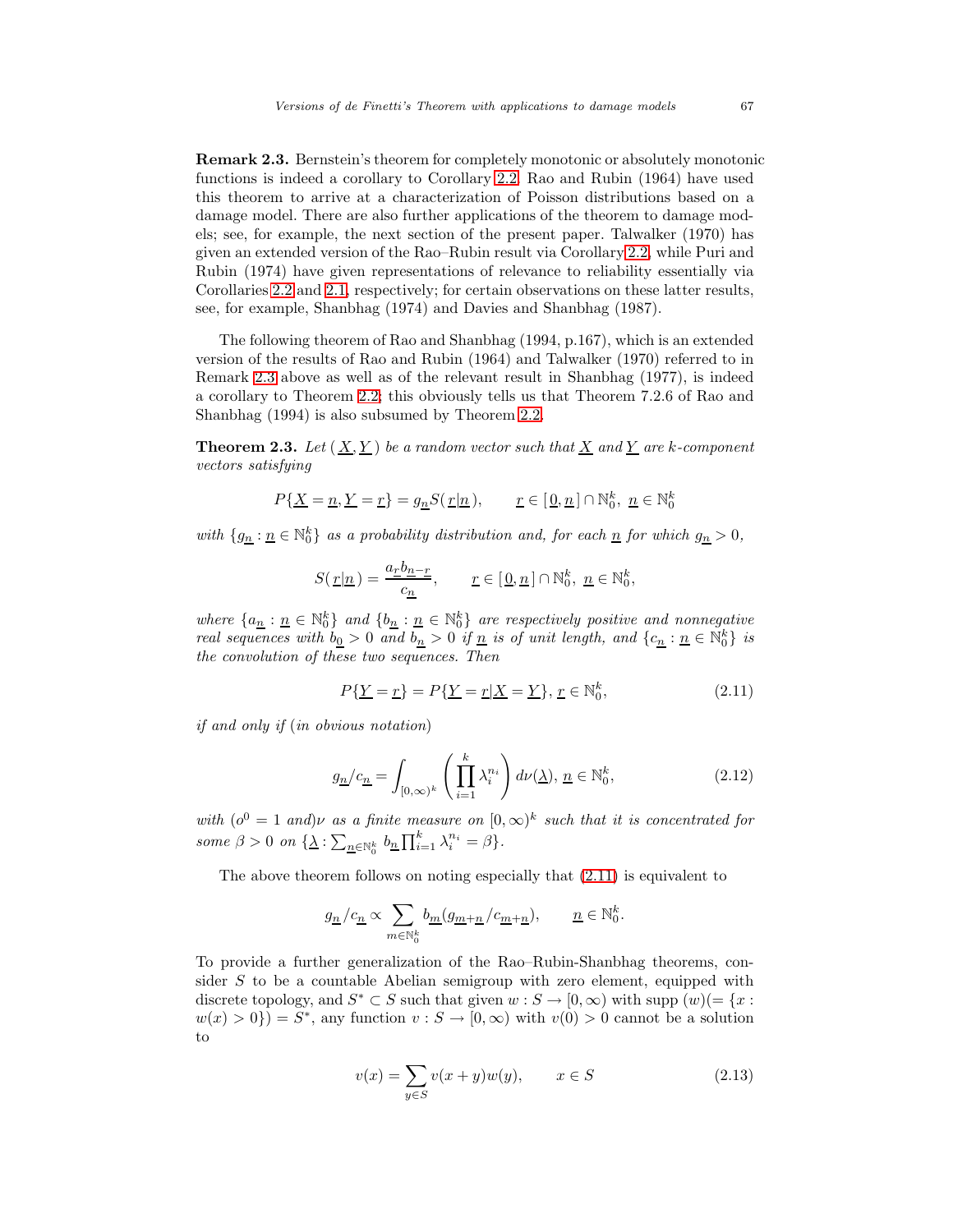**Remark 2.3.** Bernstein's theorem for completely monotonic or absolutely monotonic functions is indeed a corollary to Corollary [2.2.](#page-4-3) Rao and Rubin (1964) have used this theorem to arrive at a characterization of Poisson distributions based on a damage model. There are also further applications of the theorem to damage models; see, for example, the next section of the present paper. Talwalker (1970) has given an extended version of the Rao–Rubin result via Corollary [2.2,](#page-4-3) while Puri and Rubin (1974) have given representations of relevance to reliability essentially via Corollaries [2.2](#page-4-3) and [2.1,](#page-3-4) respectively; for certain observations on these latter results, see, for example, Shanbhag (1974) and Davies and Shanbhag (1987).

The following theorem of Rao and Shanbhag (1994, p.167), which is an extended version of the results of Rao and Rubin (1964) and Talwalker (1970) referred to in Remark [2.3](#page-4-4) above as well as of the relevant result in Shanbhag (1977), is indeed a corollary to Theorem [2.2;](#page-3-3) this obviously tells us that Theorem 7.2.6 of Rao and Shanbhag (1994) is also subsumed by Theorem [2.2.](#page-3-3)

**Theorem 2.3.** Let  $(X, Y)$  be a random vector such that X and Y are k-component vectors satisfying

$$
P\{\underline{X}=\underline{n},\underline{Y}=\underline{r}\}=g_{\underline{n}}S(\,\underline{r}|\underline{n}\,),\qquad \underline{r}\in[\,\underline{0},\underline{n}\,]\cap\mathbb{N}_0^k,\ \underline{n}\in\mathbb{N}_0^k
$$

with  $\{g_n : n \in \mathbb{N}_0^k\}$  as a probability distribution and, for each  $n$  for which  $g_n > 0$ ,

$$
S(\underline{r}|\underline{n}) = \frac{a_{\underline{r}}b_{\underline{n}-\underline{r}}}{c_{\underline{n}}}, \qquad \underline{r} \in [\underline{0}, \underline{n}] \cap \mathbb{N}_0^k, \ \underline{n} \in \mathbb{N}_0^k,
$$

<span id="page-5-0"></span>where  $\{a_{\underline{n}} : \underline{n} \in \mathbb{N}_0^k\}$  and  $\{b_{\underline{n}} : \underline{n} \in \mathbb{N}_0^k\}$  are respectively positive and nonnegative real sequences with  $b_0 > 0$  and  $b_n > 0$  if  $\underline{n}$  is of unit length, and  $\{c_n : n \in \mathbb{N}_0^k\}$  is the convolution of these two sequences. Then

$$
P\{\underline{Y} = \underline{r}\} = P\{\underline{Y} = \underline{r} | \underline{X} = \underline{Y}\}, \, \underline{r} \in \mathbb{N}_0^k,\tag{2.11}
$$

if and only if (in obvious notation)

$$
g_{\underline{n}}/c_{\underline{n}} = \int_{[0,\infty)^k} \left(\prod_{i=1}^k \lambda_i^{n_i}\right) d\nu(\underline{\lambda}), \, \underline{n} \in \mathbb{N}_0^k,\tag{2.12}
$$

with  $(o^0 = 1$  and)v as a finite measure on  $(0, \infty)^k$  such that it is concentrated for some  $\beta > 0$  on  $\{\underline{\lambda} : \sum_{n \in \mathbb{N}_0^k} b_n \prod_{i=1}^k \lambda_i^{n_i} = \beta\}.$ 

The above theorem follows on noting especially that [\(2.11\)](#page-5-0) is equivalent to

$$
g_{\underline{n}}\, / c_{\underline{n}} \propto \sum_{m \in \mathbb{N}_0^k} b_{\underline{m}}(g_{\underline{m}+\underline{n}}/c_{\underline{m}+\underline{n}}), \qquad \underline{n} \in \mathbb{N}_0^k.
$$

<span id="page-5-1"></span>To provide a further generalization of the Rao–Rubin-Shanbhag theorems, consider  $S$  to be a countable Abelian semigroup with zero element, equipped with discrete topology, and  $S^* \subset S$  such that given  $w : S \to [0, \infty)$  with supp  $(w) (= \{x : S \to [0, \infty) \}$  $w(x) > 0$ } = S<sup>\*</sup>, any function  $v : S \to [0, \infty)$  with  $v(0) > 0$  cannot be a solution to

$$
v(x) = \sum_{y \in S} v(x+y)w(y), \qquad x \in S \tag{2.13}
$$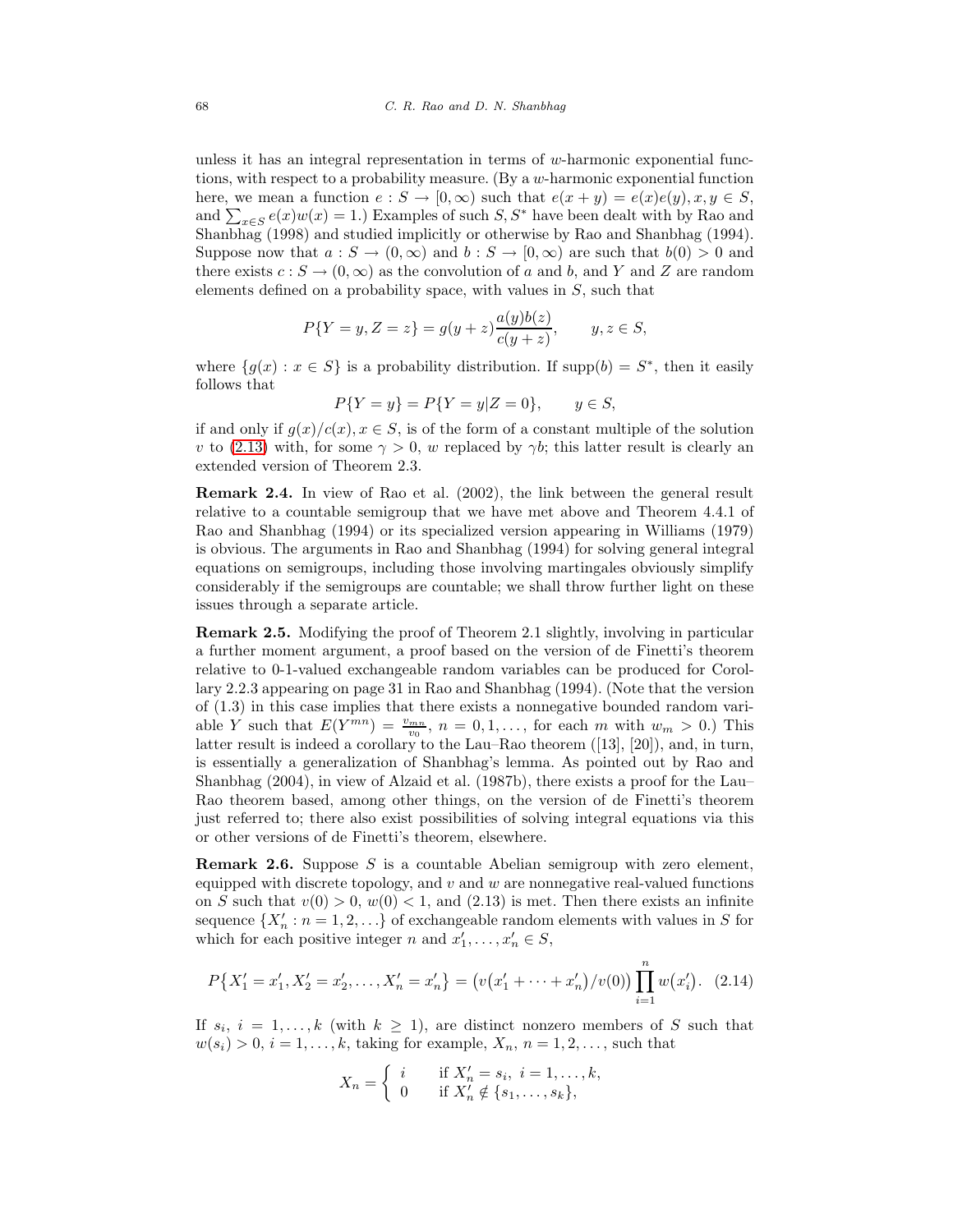unless it has an integral representation in terms of  $w$ -harmonic exponential functions, with respect to a probability measure. (By a  $w$ -harmonic exponential function here, we mean a function  $e : S \to [0, \infty)$  such that  $e(x + y) = e(x)e(y), x, y \in S$ , and  $\sum_{x \in S} e(x)w(x) = 1$ .) Examples of such  $S, S^*$  have been dealt with by Rao and Shanbhag (1998) and studied implicitly or otherwise by Rao and Shanbhag (1994). Suppose now that  $a: S \to (0, \infty)$  and  $b: S \to [0, \infty)$  are such that  $b(0) > 0$  and there exists  $c : S \to (0, \infty)$  as the convolution of a and b, and Y and Z are random elements defined on a probability space, with values in  $S$ , such that

$$
P\{Y = y, Z = z\} = g(y + z) \frac{a(y)b(z)}{c(y + z)}, \qquad y, z \in S,
$$

where  $\{g(x) : x \in S\}$  is a probability distribution. If supp $(b) = S^*$ , then it easily follows that

$$
P\{Y = y\} = P\{Y = y|Z = 0\}, \qquad y \in S,
$$

if and only if  $g(x)/c(x)$ ,  $x \in S$ , is of the form of a constant multiple of the solution v to [\(2.13\)](#page-5-1) with, for some  $\gamma > 0$ , w replaced by  $\gamma b$ ; this latter result is clearly an extended version of Theorem 2.3.

**Remark 2.4.** In view of Rao et al. (2002), the link between the general result relative to a countable semigroup that we have met above and Theorem 4.4.1 of Rao and Shanbhag (1994) or its specialized version appearing in Williams (1979) is obvious. The arguments in Rao and Shanbhag (1994) for solving general integral equations on semigroups, including those involving martingales obviously simplify considerably if the semigroups are countable; we shall throw further light on these issues through a separate article.

**Remark 2.5.** Modifying the proof of Theorem 2.1 slightly, involving in particular a further moment argument, a proof based on the version of de Finetti's theorem relative to 0-1-valued exchangeable random variables can be produced for Corollary 2.2.3 appearing on page 31 in Rao and Shanbhag (1994). (Note that the version of (1.3) in this case implies that there exists a nonnegative bounded random variable Y such that  $E(Y^{mn}) = \frac{v_{mn}}{v_0}$ ,  $n = 0, 1, \ldots$ , for each m with  $w_m > 0$ .) This latter result is indeed a corollary to the Lau–Rao theorem ([13], [20]), and, in turn, is essentially a generalization of Shanbhag's lemma. As pointed out by Rao and Shanbhag (2004), in view of Alzaid et al. (1987b), there exists a proof for the Lau– Rao theorem based, among other things, on the version of de Finetti's theorem just referred to; there also exist possibilities of solving integral equations via this or other versions of de Finetti's theorem, elsewhere.

**Remark 2.6.** Suppose S is a countable Abelian semigroup with zero element, equipped with discrete topology, and  $v$  and  $w$  are nonnegative real-valued functions on S such that  $v(0) > 0$ ,  $w(0) < 1$ , and  $(2.13)$  is met. Then there exists an infinite sequence  $\{X'_n : n = 1, 2, \ldots\}$  of exchangeable random elements with values in S for which for each positive integer n and  $x'_1, \ldots, x'_n \in S$ ,

$$
P\{X'_1 = x'_1, X'_2 = x'_2, \dots, X'_n = x'_n\} = (v(x'_1 + \dots + x'_n)/v(0)) \prod_{i=1}^n w(x'_i). \tag{2.14}
$$

If  $s_i$ ,  $i = 1, ..., k$  (with  $k \ge 1$ ), are distinct nonzero members of S such that  $w(s_i) > 0, i = 1, \ldots, k$ , taking for example,  $X_n, n = 1, 2, \ldots$ , such that

$$
X_n = \begin{cases} i & \text{if } X'_n = s_i, \ i = 1, \dots, k, \\ 0 & \text{if } X'_n \notin \{s_1, \dots, s_k\}, \end{cases}
$$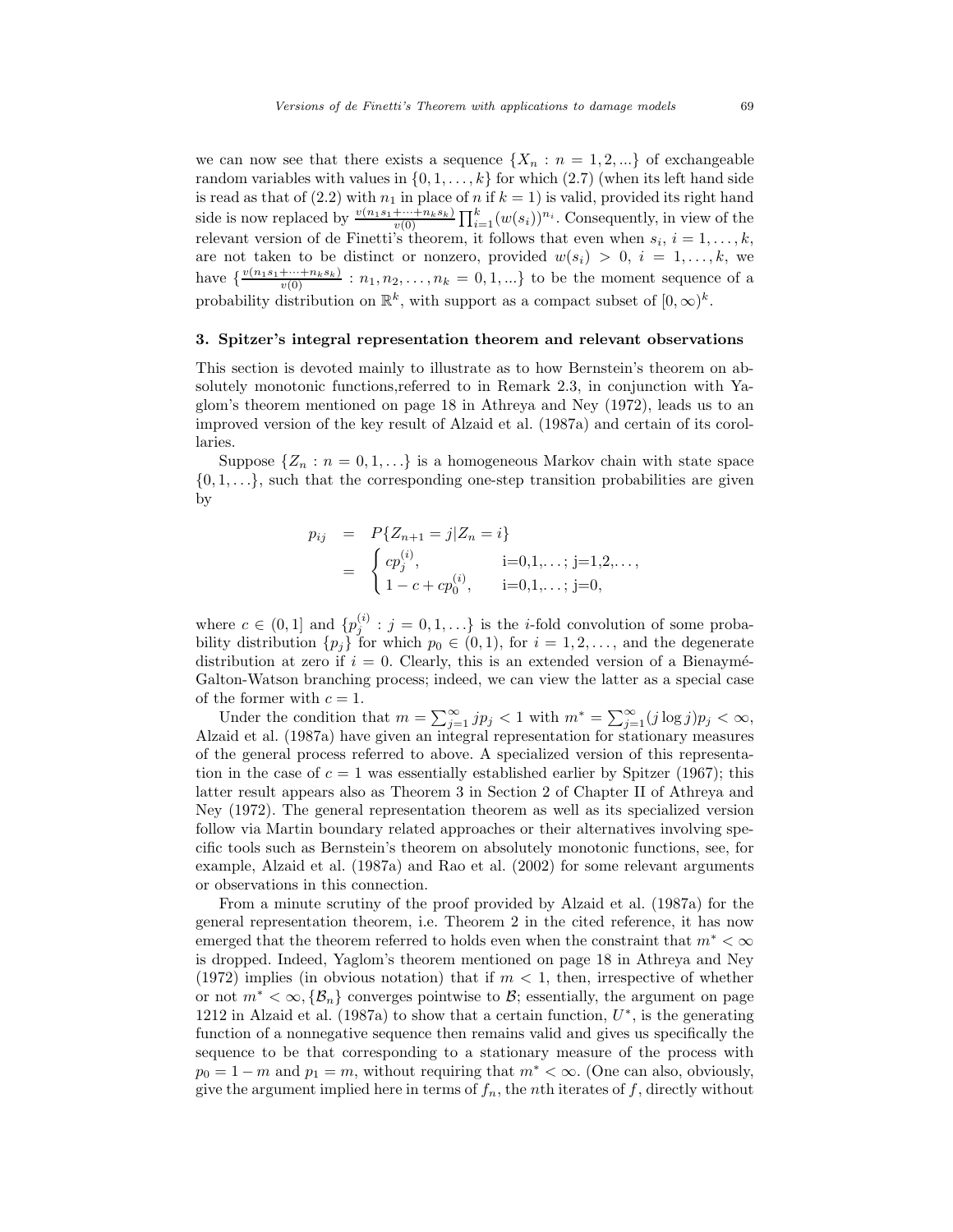we can now see that there exists a sequence  $\{X_n : n = 1, 2, ...\}$  of exchangeable random variables with values in  $\{0, 1, \ldots, k\}$  for which  $(2.7)$  (when its left hand side is read as that of (2.2) with  $n_1$  in place of n if  $k = 1$ ) is valid, provided its right hand side is now replaced by  $\frac{v(n_1s_1+\cdots+n_ks_k)}{v(0)} \prod_{i=1}^k (w(s_i))^{n_i}$ . Consequently, in view of the relevant version of de Finetti's theorem, it follows that even when  $s_i$ ,  $i = 1, \ldots, k$ , are not taken to be distinct or nonzero, provided  $w(s_i) > 0, i = 1,...,k$ , we have  $\{\frac{v(n_1s_1+\cdots+n_ks_k)}{v(0)}: n_1, n_2, \ldots, n_k = 0, 1, \ldots\}$  to be the moment sequence of a probability distribution on  $\mathbb{R}^k$ , with support as a compact subset of  $[0,\infty)^k$ .

## **3. Spitzer's integral representation theorem and relevant observations**

This section is devoted mainly to illustrate as to how Bernstein's theorem on absolutely monotonic functions,referred to in Remark 2.3, in conjunction with Yaglom's theorem mentioned on page 18 in Athreya and Ney (1972), leads us to an improved version of the key result of Alzaid et al. (1987a) and certain of its corollaries.

Suppose  $\{Z_n : n = 0, 1, \ldots\}$  is a homogeneous Markov chain with state space  $\{0, 1, \ldots\}$ , such that the corresponding one-step transition probabilities are given by

$$
p_{ij} = P\{Z_{n+1} = j | Z_n = i\}
$$
  
= 
$$
\begin{cases} cp_j^{(i)}, & i=0,1,\ldots; j=1,2,\ldots, \\ 1-c+cp_0^{(i)}, & i=0,1,\ldots; j=0, \end{cases}
$$

where  $c \in (0,1]$  and  $\{p_j^{(i)} : j = 0,1,\ldots\}$  is the *i*-fold convolution of some probability distribution  $\{p_j\}$  for which  $p_0 \in (0,1)$ , for  $i = 1,2,...$ , and the degenerate distribution at zero if  $i = 0$ . Clearly, this is an extended version of a Bienaymé-Galton-Watson branching process; indeed, we can view the latter as a special case of the former with  $c = 1$ .

Under the condition that  $m = \sum_{j=1}^{\infty} j p_j < 1$  with  $m^* = \sum_{j=1}^{\infty} (j \log j) p_j < \infty$ , Alzaid et al. (1987a) have given an integral representation for stationary measures of the general process referred to above. A specialized version of this representation in the case of  $c = 1$  was essentially established earlier by Spitzer (1967); this latter result appears also as Theorem 3 in Section 2 of Chapter II of Athreya and Ney (1972). The general representation theorem as well as its specialized version follow via Martin boundary related approaches or their alternatives involving specific tools such as Bernstein's theorem on absolutely monotonic functions, see, for example, Alzaid et al. (1987a) and Rao et al. (2002) for some relevant arguments or observations in this connection.

From a minute scrutiny of the proof provided by Alzaid et al. (1987a) for the general representation theorem, i.e. Theorem 2 in the cited reference, it has now emerged that the theorem referred to holds even when the constraint that  $m^* < \infty$ is dropped. Indeed, Yaglom's theorem mentioned on page 18 in Athreya and Ney (1972) implies (in obvious notation) that if  $m < 1$ , then, irrespective of whether or not  $m^* < \infty$ ,  $\{\mathcal{B}_n\}$  converges pointwise to  $\mathcal{B}$ ; essentially, the argument on page 1212 in Alzaid et al. (1987a) to show that a certain function,  $U^*$ , is the generating function of a nonnegative sequence then remains valid and gives us specifically the sequence to be that corresponding to a stationary measure of the process with  $p_0 = 1 - m$  and  $p_1 = m$ , without requiring that  $m^* < \infty$ . (One can also, obviously, give the argument implied here in terms of  $f_n$ , the nth iterates of f, directly without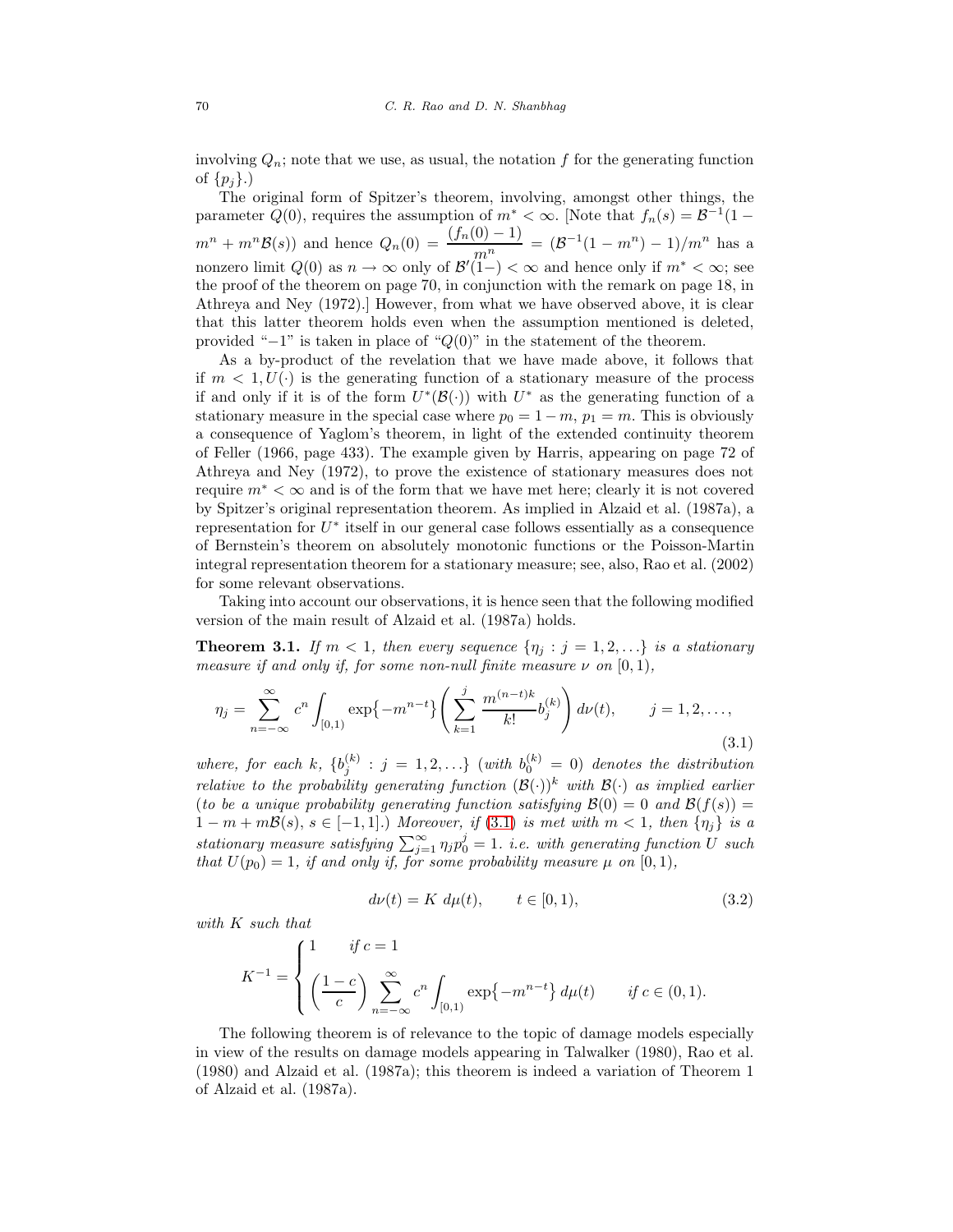involving  $Q_n$ ; note that we use, as usual, the notation f for the generating function of  $\{p_i\}$ .)

The original form of Spitzer's theorem, involving, amongst other things, the parameter  $Q(0)$ , requires the assumption of  $m^* < \infty$ . [Note that  $f_n(s) = \mathcal{B}^{-1}(1$  $m^{n} + m^{n} \mathcal{B}(s)$  and hence  $Q_{n}(0) = \frac{(f_{n}(0) - 1)}{m^{n}} = (\mathcal{B}^{-1}(1 - m^{n}) - 1)/m^{n}$  has a nonzero limit  $Q(0)$  as  $n \to \infty$  only of  $\mathcal{B}'(1-) < \infty$  and hence only if  $m^* < \infty$ ; see the proof of the theorem on page 70, in conjunction with the remark on page 18, in Athreya and Ney (1972).] However, from what we have observed above, it is clear that this latter theorem holds even when the assumption mentioned is deleted, provided " $-1$ " is taken in place of " $Q(0)$ " in the statement of the theorem.

As a by-product of the revelation that we have made above, it follows that if  $m < 1, U(\cdot)$  is the generating function of a stationary measure of the process if and only if it is of the form  $U^*(\mathcal{B}(\cdot))$  with  $U^*$  as the generating function of a stationary measure in the special case where  $p_0 = 1 - m$ ,  $p_1 = m$ . This is obviously a consequence of Yaglom's theorem, in light of the extended continuity theorem of Feller (1966, page 433). The example given by Harris, appearing on page 72 of Athreya and Ney (1972), to prove the existence of stationary measures does not require  $m^* < \infty$  and is of the form that we have met here; clearly it is not covered by Spitzer's original representation theorem. As implied in Alzaid et al. (1987a), a representation for  $U^*$  itself in our general case follows essentially as a consequence of Bernstein's theorem on absolutely monotonic functions or the Poisson-Martin integral representation theorem for a stationary measure; see, also, Rao et al. (2002) for some relevant observations.

Taking into account our observations, it is hence seen that the following modified version of the main result of Alzaid et al. (1987a) holds.

<span id="page-8-0"></span>**Theorem 3.1.** If  $m < 1$ , then every sequence  $\{\eta_i : j = 1, 2, ...\}$  is a stationary measure if and only if, for some non-null finite measure  $\nu$  on  $[0,1)$ ,

$$
\eta_j = \sum_{n=-\infty}^{\infty} c^n \int_{[0,1)} \exp\{-m^{n-t}\} \left(\sum_{k=1}^j \frac{m^{(n-t)k}}{k!} b_j^{(k)}\right) d\nu(t), \qquad j = 1, 2, \dots,
$$
\n(3.1)

where, for each k,  $\{b_j^{(k)} : j = 1, 2, ...\}$  (with  $b_0^{(k)} = 0$ ) denotes the distribution relative to the probability generating function  $(\mathcal{B}(\cdot))^{k}$  with  $\mathcal{B}(\cdot)$  as implied earlier (to be a unique probability generating function satisfying  $\mathcal{B}(0) = 0$  and  $\mathcal{B}(f(s)) = 0$  $1 - m + m\mathcal{B}(s), s \in [-1, 1].$  Moreover, if  $(3.1)$  is met with  $m < 1$ , then  $\{\eta_i\}$  is a stationary measure satisfying  $\sum_{j=1}^{\infty} \eta_j p_0^j = 1$ . i.e. with generating function U such that  $U(p_0)=1$ , if and only if, for some probability measure  $\mu$  on  $[0, 1)$ ,

$$
d\nu(t) = K \, d\mu(t), \qquad t \in [0, 1), \tag{3.2}
$$

with K such that

$$
K^{-1} = \begin{cases} 1 & \text{if } c = 1 \\ \left(\frac{1-c}{c}\right) \sum_{n=-\infty}^{\infty} c^n \int_{[0,1)} \exp\{-m^{n-t}\} d\mu(t) & \text{if } c \in (0,1). \end{cases}
$$

<span id="page-8-1"></span>The following theorem is of relevance to the topic of damage models especially in view of the results on damage models appearing in Talwalker (1980), Rao et al. (1980) and Alzaid et al. (1987a); this theorem is indeed a variation of Theorem 1 of Alzaid et al. (1987a).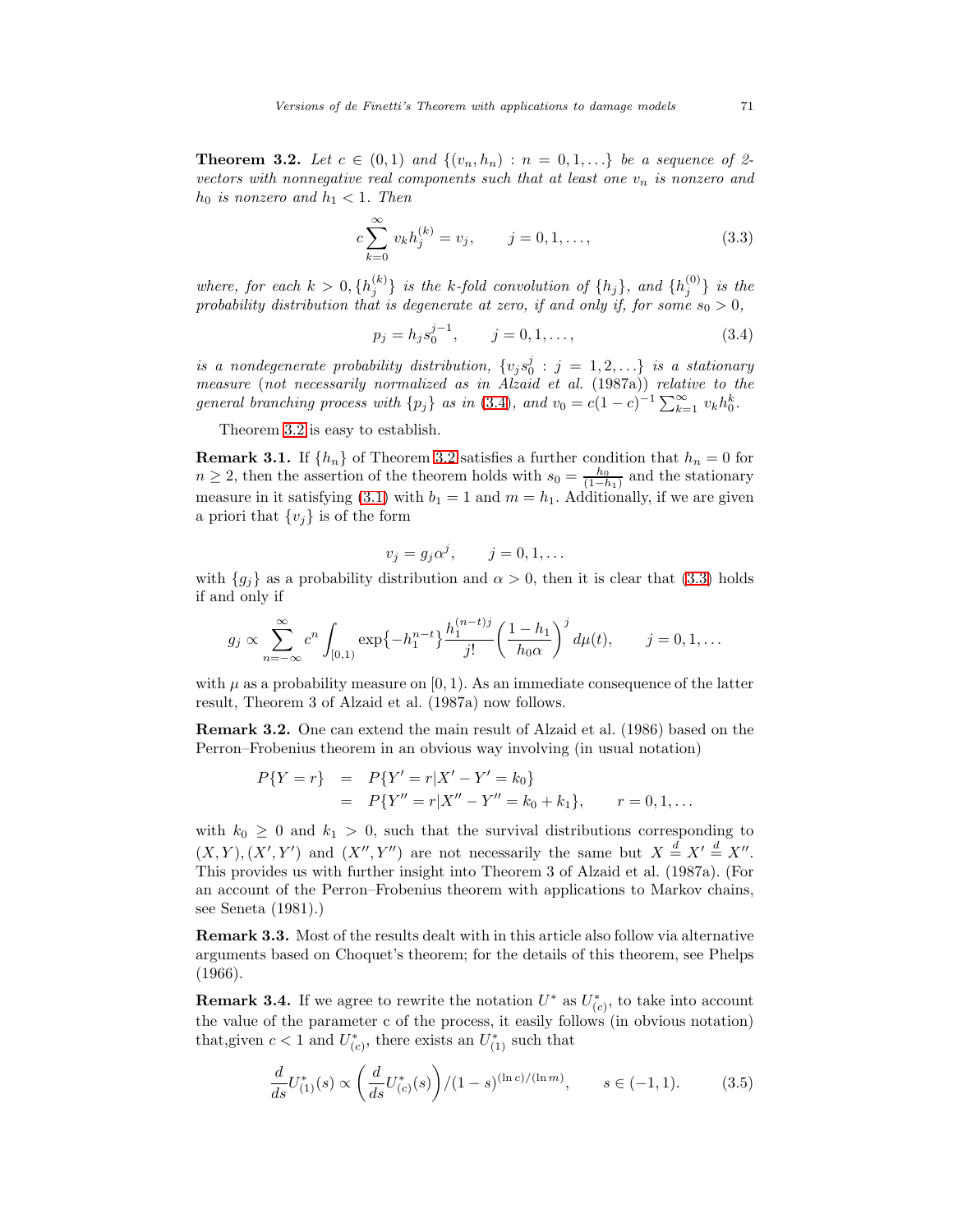<span id="page-9-1"></span>**Theorem 3.2.** Let  $c \in (0,1)$  and  $\{(v_n, h_n) : n = 0,1,...\}$  be a sequence of 2vectors with nonnegative real components such that at least one  $v_n$  is nonzero and  $h_0$  is nonzero and  $h_1 < 1$ . Then

$$
c\sum_{k=0}^{\infty} v_k h_j^{(k)} = v_j, \qquad j = 0, 1, ..., \qquad (3.3)
$$

<span id="page-9-0"></span>where, for each  $k > 0$ ,  $\{h_j^{(k)}\}$  is the k-fold convolution of  $\{h_j\}$ , and  $\{h_j^{(0)}\}$  is the probability distribution that is degenerate at zero, if and only if, for some  $s_0 > 0$ ,

$$
p_j = h_j s_0^{j-1}, \qquad j = 0, 1, \dots,
$$
\n(3.4)

is a nondegenerate probability distribution,  $\{v_j s_0^j : j = 1, 2, ...\}$  is a stationary measure (not necessarily normalized as in Alzaid et al. (1987a)) relative to the general branching process with  $\{p_j\}$  as in [\(3.4\)](#page-9-0), and  $v_0 = c(1-c)^{-1} \sum_{k=1}^{\infty} v_k h_0^k$ .

Theorem [3.2](#page-8-1) is easy to establish.

**Remark 3.1.** If  $\{h_n\}$  of Theorem [3.2](#page-8-1) satisfies a further condition that  $h_n = 0$  for  $n \geq 2$ , then the assertion of the theorem holds with  $s_0 = \frac{h_0}{(1-h_1)}$  and the stationary measure in it satisfying [\(3.1\)](#page-8-0) with  $b_1 = 1$  and  $m = h_1$ . Additionally, if we are given a priori that  $\{v_i\}$  is of the form

$$
v_j = g_j \alpha^j, \qquad j = 0, 1, \dots
$$

with  ${g_i}$  as a probability distribution and  $\alpha > 0$ , then it is clear that [\(3.3\)](#page-9-1) holds if and only if

$$
g_j \propto \sum_{n=-\infty}^{\infty} c^n \int_{[0,1)} \exp\{-h_1^{n-t}\} \frac{h_1^{(n-t)j}}{j!} \left(\frac{1-h_1}{h_0 \alpha}\right)^j d\mu(t), \qquad j=0,1,\ldots
$$

with  $\mu$  as a probability measure on [0, 1]. As an immediate consequence of the latter result, Theorem 3 of Alzaid et al. (1987a) now follows.

**Remark 3.2.** One can extend the main result of Alzaid et al. (1986) based on the Perron–Frobenius theorem in an obvious way involving (in usual notation)

$$
P{Y = r} = P{Y' = r|X' - Y' = k_0}
$$
  
= 
$$
P{Y'' = r|X'' - Y'' = k_0 + k_1}, \qquad r = 0, 1, ...
$$

with  $k_0 \geq 0$  and  $k_1 > 0$ , such that the survival distributions corresponding to  $(X, Y), (X', Y')$  and  $(X'', Y'')$  are not necessarily the same but  $X \stackrel{d}{=} X' \stackrel{d}{=} X''$ . This provides us with further insight into Theorem 3 of Alzaid et al. (1987a). (For an account of the Perron–Frobenius theorem with applications to Markov chains, see Seneta (1981).)

**Remark 3.3.** Most of the results dealt with in this article also follow via alternative arguments based on Choquet's theorem; for the details of this theorem, see Phelps (1966).

**Remark 3.4.** If we agree to rewrite the notation  $U^*$  as  $U^*_{(c)}$ , to take into account the value of the parameter c of the process, it easily follows (in obvious notation) that, given  $c < 1$  and  $U^*_{(c)}$ , there exists an  $U^*_{(1)}$  such that

$$
\frac{d}{ds}U_{(1)}^*(s) \propto \left(\frac{d}{ds}U_{(c)}^*(s)\right) / (1-s)^{(\ln c) / (\ln m)}, \qquad s \in (-1, 1). \tag{3.5}
$$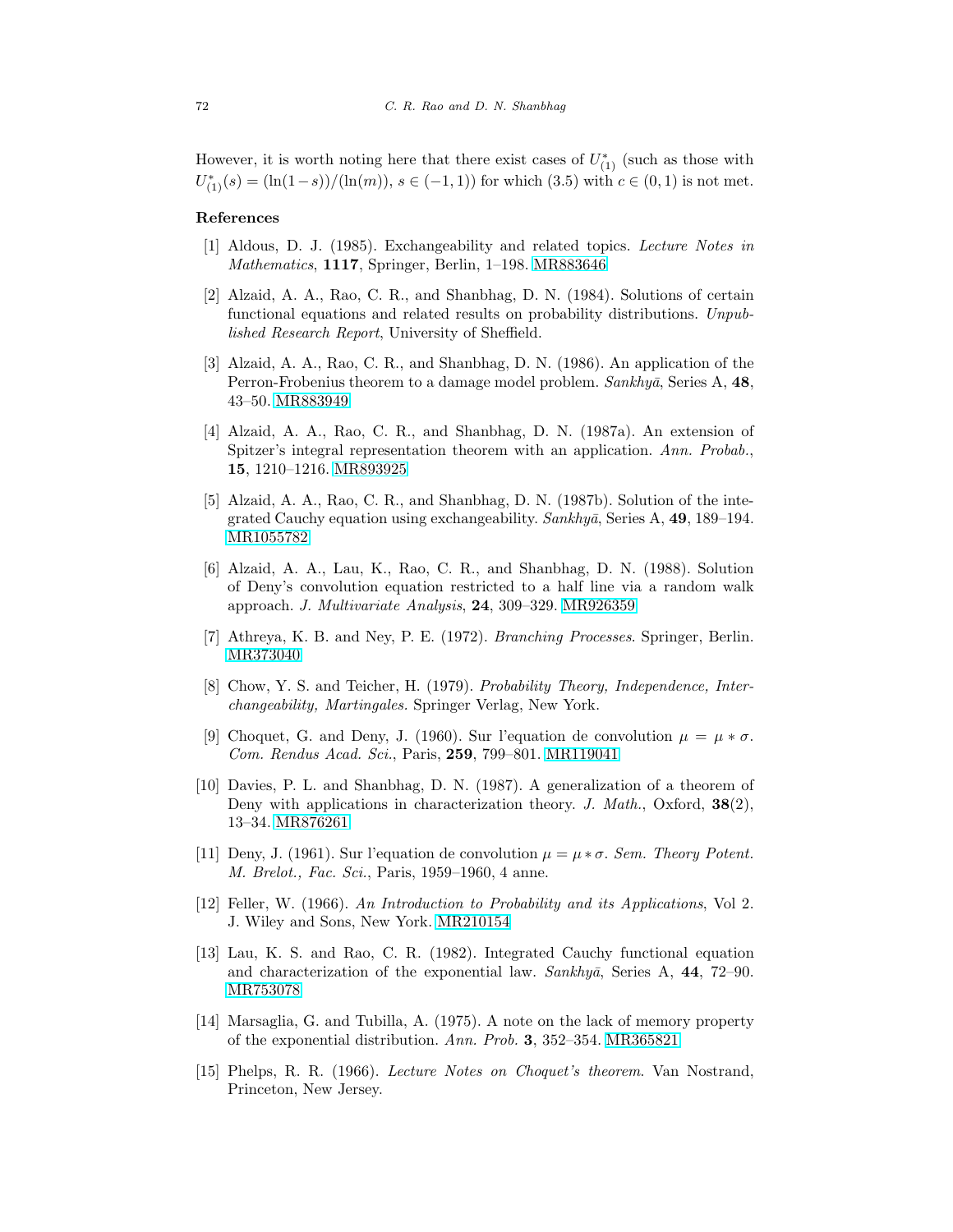However, it is worth noting here that there exist cases of  $U^*_{(1)}$  (such as those with  $U_{(1)}^*(s) = (\ln(1-s)) / (\ln(m))$ ,  $s \in (-1,1)$  for which  $(3.5)$  with  $c \in (0,1)$  is not met.

# **References**

- [1] Aldous, D. J. (1985). Exchangeability and related topics. Lecture Notes in Mathematics, **1117**, Springer, Berlin, 1–198. [MR883646](http://www.ams.org/mathscinet-getitem?mr=883646)
- [2] Alzaid, A. A., Rao, C. R., and Shanbhag, D. N. (1984). Solutions of certain functional equations and related results on probability distributions. Unpublished Research Report, University of Sheffield.
- [3] Alzaid, A. A., Rao, C. R., and Shanbhag, D. N. (1986). An application of the Perron-Frobenius theorem to a damage model problem. Sankhyā, Series A, 48, 43–50. [MR883949](http://www.ams.org/mathscinet-getitem?mr=883949)
- [4] Alzaid, A. A., Rao, C. R., and Shanbhag, D. N. (1987a). An extension of Spitzer's integral representation theorem with an application. Ann. Probab., **15**, 1210–1216. [MR893925](http://www.ams.org/mathscinet-getitem?mr=893925)
- [5] Alzaid, A. A., Rao, C. R., and Shanbhag, D. N. (1987b). Solution of the integrated Cauchy equation using exchangeability. Sankhyā, Series A, 49, 189–194. [MR1055782](http://www.ams.org/mathscinet-getitem?mr=1055782)
- [6] Alzaid, A. A., Lau, K., Rao, C. R., and Shanbhag, D. N. (1988). Solution of Deny's convolution equation restricted to a half line via a random walk approach. J. Multivariate Analysis, **24**, 309–329. [MR926359](http://www.ams.org/mathscinet-getitem?mr=926359)
- [7] Athreya, K. B. and Ney, P. E. (1972). Branching Processes. Springer, Berlin. [MR373040](http://www.ams.org/mathscinet-getitem?mr=373040)
- [8] Chow, Y. S. and Teicher, H. (1979). Probability Theory, Independence, Interchangeability, Martingales. Springer Verlag, New York.
- [9] Choquet, G. and Deny, J. (1960). Sur l'equation de convolution  $\mu = \mu * \sigma$ . Com. Rendus Acad. Sci., Paris, **259**, 799–801. [MR119041](http://www.ams.org/mathscinet-getitem?mr=119041)
- [10] Davies, P. L. and Shanbhag, D. N. (1987). A generalization of a theorem of Deny with applications in characterization theory. J. Math., Oxford, **38**(2), 13–34. [MR876261](http://www.ams.org/mathscinet-getitem?mr=876261)
- [11] Deny, J. (1961). Sur l'equation de convolution  $\mu = \mu * \sigma$ . Sem. Theory Potent. M. Brelot., Fac. Sci., Paris, 1959–1960, 4 anne.
- [12] Feller, W. (1966). An Introduction to Probability and its Applications, Vol 2. J. Wiley and Sons, New York. [MR210154](http://www.ams.org/mathscinet-getitem?mr=210154)
- [13] Lau, K. S. and Rao, C. R. (1982). Integrated Cauchy functional equation and characterization of the exponential law.  $Sankhy\bar{a}$ , Series A, 44, 72–90. [MR753078](http://www.ams.org/mathscinet-getitem?mr=753078)
- [14] Marsaglia, G. and Tubilla, A. (1975). A note on the lack of memory property of the exponential distribution. Ann. Prob. **3**, 352–354. [MR365821](http://www.ams.org/mathscinet-getitem?mr=365821)
- [15] Phelps, R. R. (1966). Lecture Notes on Choquet's theorem. Van Nostrand, Princeton, New Jersey.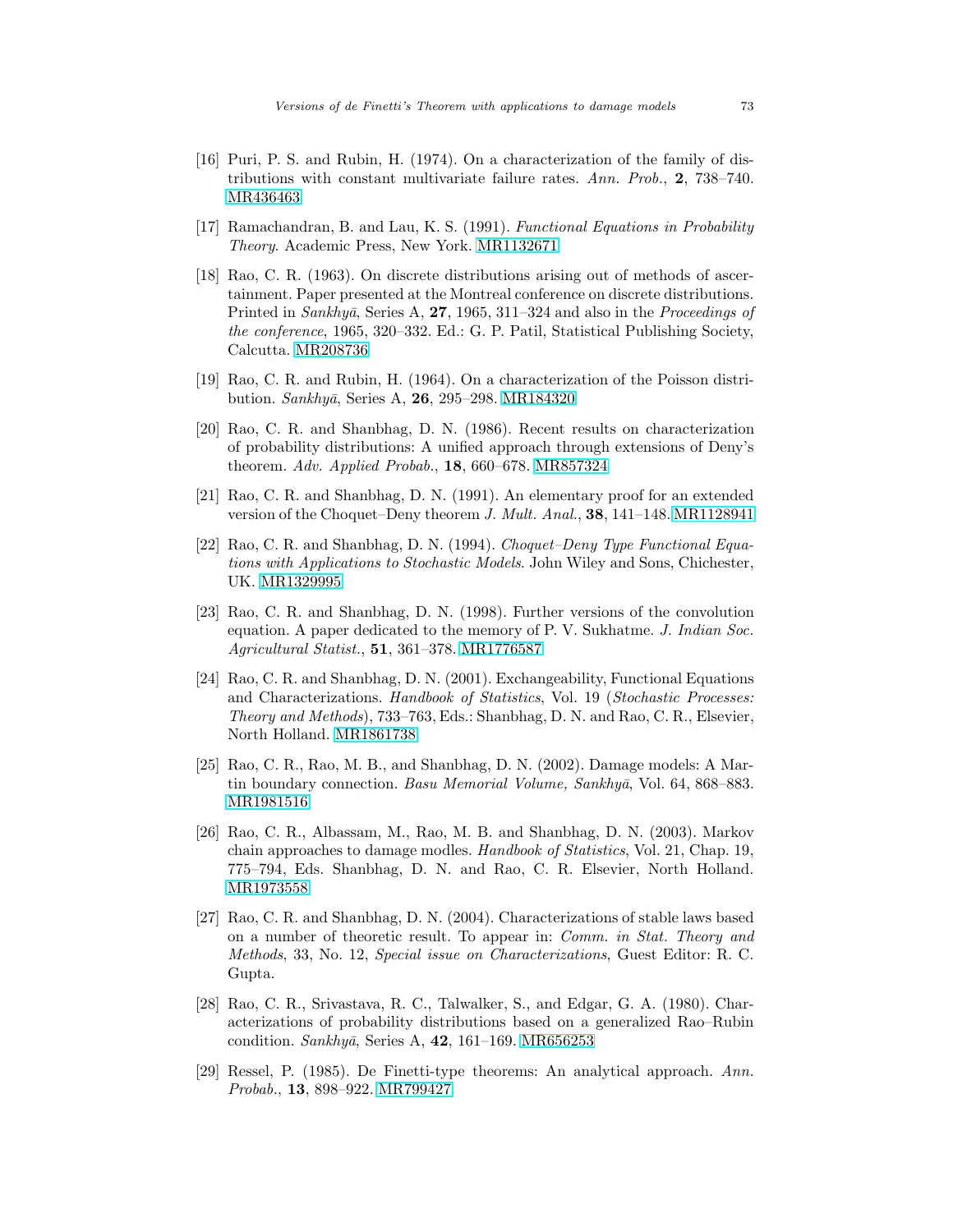- [16] Puri, P. S. and Rubin, H. (1974). On a characterization of the family of distributions with constant multivariate failure rates. Ann. Prob., **2**, 738–740. [MR436463](http://www.ams.org/mathscinet-getitem?mr=436463)
- [17] Ramachandran, B. and Lau, K. S. (1991). Functional Equations in Probability Theory. Academic Press, New York. [MR1132671](http://www.ams.org/mathscinet-getitem?mr=1132671)
- [18] Rao, C. R. (1963). On discrete distributions arising out of methods of ascertainment. Paper presented at the Montreal conference on discrete distributions. Printed in *Sankhyā*, Series A, 27, 1965, 311–324 and also in the *Proceedings of* the conference, 1965, 320–332. Ed.: G. P. Patil, Statistical Publishing Society, Calcutta. [MR208736](http://www.ams.org/mathscinet-getitem?mr=208736)
- [19] Rao, C. R. and Rubin, H. (1964). On a characterization of the Poisson distri-bution. Sankhyā, Series A, 26, 295–298. [MR184320](http://www.ams.org/mathscinet-getitem?mr=184320)
- [20] Rao, C. R. and Shanbhag, D. N. (1986). Recent results on characterization of probability distributions: A unified approach through extensions of Deny's theorem. Adv. Applied Probab., **18**, 660–678. [MR857324](http://www.ams.org/mathscinet-getitem?mr=857324)
- [21] Rao, C. R. and Shanbhag, D. N. (1991). An elementary proof for an extended version of the Choquet–Deny theorem J. Mult. Anal., **38**, 141–148. [MR1128941](http://www.ams.org/mathscinet-getitem?mr=1128941)
- [22] Rao, C. R. and Shanbhag, D. N. (1994). Choquet–Deny Type Functional Equations with Applications to Stochastic Models. John Wiley and Sons, Chichester, UK. [MR1329995](http://www.ams.org/mathscinet-getitem?mr=1329995)
- [23] Rao, C. R. and Shanbhag, D. N. (1998). Further versions of the convolution equation. A paper dedicated to the memory of P. V. Sukhatme. J. Indian Soc. Agricultural Statist., **51**, 361–378. [MR1776587](http://www.ams.org/mathscinet-getitem?mr=1776587)
- [24] Rao, C. R. and Shanbhag, D. N. (2001). Exchangeability, Functional Equations and Characterizations. Handbook of Statistics, Vol. 19 (Stochastic Processes: Theory and Methods), 733–763, Eds.: Shanbhag, D. N. and Rao, C. R., Elsevier, North Holland. [MR1861738](http://www.ams.org/mathscinet-getitem?mr=1861738)
- [25] Rao, C. R., Rao, M. B., and Shanbhag, D. N. (2002). Damage models: A Martin boundary connection. Basu Memorial Volume, Sankhya, Vol. 64, 868–883. [MR1981516](http://www.ams.org/mathscinet-getitem?mr=1981516)
- [26] Rao, C. R., Albassam, M., Rao, M. B. and Shanbhag, D. N. (2003). Markov chain approaches to damage modles. Handbook of Statistics, Vol. 21, Chap. 19, 775–794, Eds. Shanbhag, D. N. and Rao, C. R. Elsevier, North Holland. [MR1973558](http://www.ams.org/mathscinet-getitem?mr=1973558)
- [27] Rao, C. R. and Shanbhag, D. N. (2004). Characterizations of stable laws based on a number of theoretic result. To appear in: Comm. in Stat. Theory and Methods, 33, No. 12, Special issue on Characterizations, Guest Editor: R. C. Gupta.
- [28] Rao, C. R., Srivastava, R. C., Talwalker, S., and Edgar, G. A. (1980). Characterizations of probability distributions based on a generalized Rao–Rubin condition. Sankhyā, Series A, 42, 161–169. [MR656253](http://www.ams.org/mathscinet-getitem?mr=656253)
- [29] Ressel, P. (1985). De Finetti-type theorems: An analytical approach. Ann. Probab., **13**, 898–922. [MR799427](http://www.ams.org/mathscinet-getitem?mr=799427)